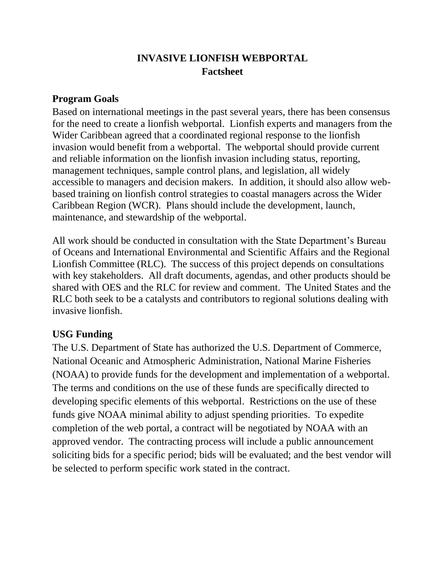# **INVASIVE LIONFISH WEBPORTAL Factsheet**

#### **Program Goals**

Based on international meetings in the past several years, there has been consensus for the need to create a lionfish webportal. Lionfish experts and managers from the Wider Caribbean agreed that a coordinated regional response to the lionfish invasion would benefit from a webportal. The webportal should provide current and reliable information on the lionfish invasion including status, reporting, management techniques, sample control plans, and legislation, all widely accessible to managers and decision makers. In addition, it should also allow webbased training on lionfish control strategies to coastal managers across the Wider Caribbean Region (WCR). Plans should include the development, launch, maintenance, and stewardship of the webportal.

All work should be conducted in consultation with the State Department's Bureau of Oceans and International Environmental and Scientific Affairs and the Regional Lionfish Committee (RLC). The success of this project depends on consultations with key stakeholders. All draft documents, agendas, and other products should be shared with OES and the RLC for review and comment. The United States and the RLC both seek to be a catalysts and contributors to regional solutions dealing with invasive lionfish.

# **USG Funding**

The U.S. Department of State has authorized the U.S. Department of Commerce, National Oceanic and Atmospheric Administration, National Marine Fisheries (NOAA) to provide funds for the development and implementation of a webportal. The terms and conditions on the use of these funds are specifically directed to developing specific elements of this webportal. Restrictions on the use of these funds give NOAA minimal ability to adjust spending priorities. To expedite completion of the web portal, a contract will be negotiated by NOAA with an approved vendor. The contracting process will include a public announcement soliciting bids for a specific period; bids will be evaluated; and the best vendor will be selected to perform specific work stated in the contract.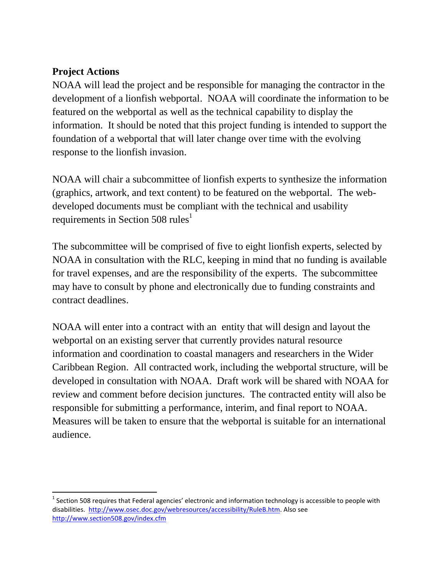# **Project Actions**

 $\overline{\phantom{a}}$ 

NOAA will lead the project and be responsible for managing the contractor in the development of a lionfish webportal. NOAA will coordinate the information to be featured on the webportal as well as the technical capability to display the information. It should be noted that this project funding is intended to support the foundation of a webportal that will later change over time with the evolving response to the lionfish invasion.

NOAA will chair a subcommittee of lionfish experts to synthesize the information (graphics, artwork, and text content) to be featured on the webportal. The webdeveloped documents must be compliant with the technical and usability requirements in Section 508 rules<sup>1</sup>

The subcommittee will be comprised of five to eight lionfish experts, selected by NOAA in consultation with the RLC, keeping in mind that no funding is available for travel expenses, and are the responsibility of the experts. The subcommittee may have to consult by phone and electronically due to funding constraints and contract deadlines.

NOAA will enter into a contract with an entity that will design and layout the webportal on an existing server that currently provides natural resource information and coordination to coastal managers and researchers in the Wider Caribbean Region. All contracted work, including the webportal structure, will be developed in consultation with NOAA. Draft work will be shared with NOAA for review and comment before decision junctures. The contracted entity will also be responsible for submitting a performance, interim, and final report to NOAA. Measures will be taken to ensure that the webportal is suitable for an international audience.

 $^1$  Section 508 requires that Federal agencies' electronic and information technology is accessible to people with disabilities. [http://www.osec.doc.gov/webresources/accessibility/RuleB.htm.](http://www.osec.doc.gov/webresources/accessibility/RuleB.htm) Also see <http://www.section508.gov/index.cfm>